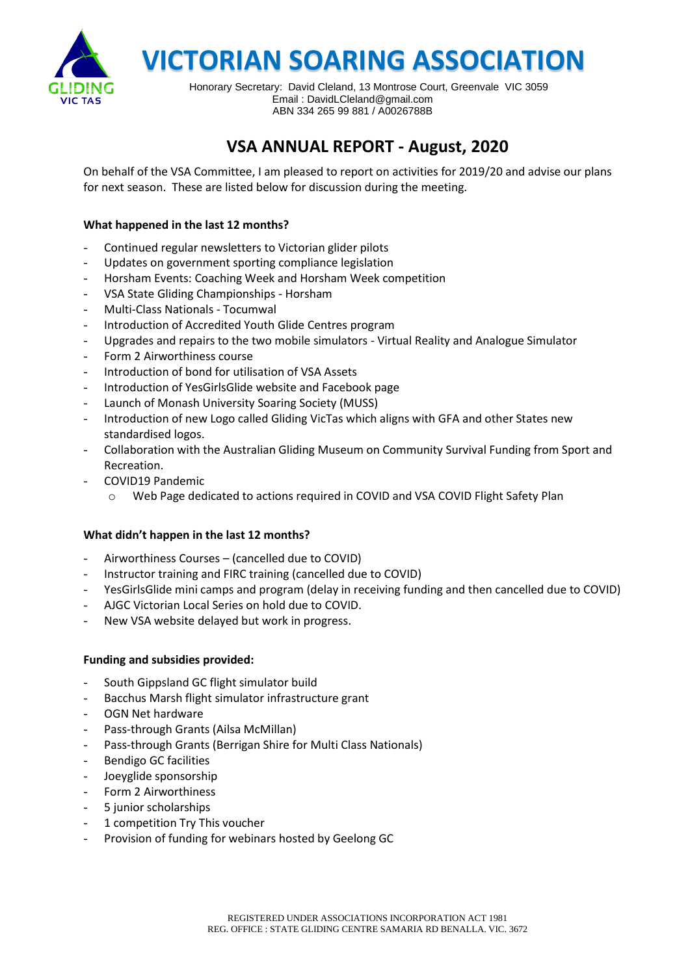

 **VICTORIAN SOARING ASSOCIATION**

 Honorary Secretary: David Cleland, 13 Montrose Court, Greenvale VIC 3059 Email : DavidLCleland@gmail.com ABN 334 265 99 881 / A0026788B

# **VSA ANNUAL REPORT - August, 2020**

On behalf of the VSA Committee, I am pleased to report on activities for 2019/20 and advise our plans for next season. These are listed below for discussion during the meeting.

## **What happened in the last 12 months?**

- Continued regular newsletters to Victorian glider pilots
- Updates on government sporting compliance legislation
- Horsham Events: Coaching Week and Horsham Week competition
- VSA State Gliding Championships Horsham
- Multi-Class Nationals Tocumwal
- Introduction of Accredited Youth Glide Centres program
- Upgrades and repairs to the two mobile simulators Virtual Reality and Analogue Simulator
- Form 2 Airworthiness course
- Introduction of bond for utilisation of VSA Assets
- Introduction of YesGirlsGlide website and Facebook page
- Launch of Monash University Soaring Society (MUSS)
- Introduction of new Logo called Gliding VicTas which aligns with GFA and other States new standardised logos.
- Collaboration with the Australian Gliding Museum on Community Survival Funding from Sport and Recreation.
- COVID19 Pandemic
	- o Web Page dedicated to actions required in COVID and VSA COVID Flight Safety Plan

## **What didn't happen in the last 12 months?**

- Airworthiness Courses (cancelled due to COVID)
- Instructor training and FIRC training (cancelled due to COVID)
- YesGirlsGlide mini camps and program (delay in receiving funding and then cancelled due to COVID)
- AJGC Victorian Local Series on hold due to COVID.
- New VSA website delayed but work in progress.

### **Funding and subsidies provided:**

- South Gippsland GC flight simulator build
- Bacchus Marsh flight simulator infrastructure grant
- OGN Net hardware
- Pass-through Grants (Ailsa McMillan)
- Pass-through Grants (Berrigan Shire for Multi Class Nationals)
- Bendigo GC facilities
- Joeyglide sponsorship
- Form 2 Airworthiness
- 5 junior scholarships
- 1 competition Try This voucher
- Provision of funding for webinars hosted by Geelong GC